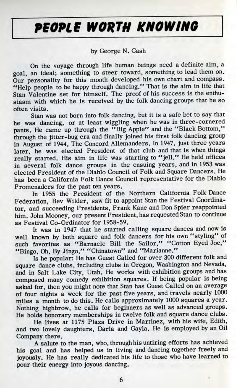## **PfOPlf WORTH KNOWING**

## by George N. Cash

On the voyage through life human beings need a definite aim, a goal, an ideal; something to steer toward, something to lead them on. Our personality for this month developed his own chart and compass. "Help people to be happy through dancing." That is the aim in life that Stan Valentine set for himself. The proof of his success is the enthusiasm with which he is received by the folk dancing groups that he so often visits.

Stan was not born into folk dancing, but it is a safe bet to say that he was dancing, or at least wiggling when he was in three-cornered pants. He came up through the "Big Apple" and the "Black Bottom," through the jitter-bug era and finally joined his first folk dancing group in August of 1944, The Concord Allemanders. In 1947, just three years later, he was elected President of that club and that is when things really started. His aim in life was starting to "jell." He held offices in several folk dance groups in the ensuing years, and in 1953 was elected President of the Diablo Council of Folk and Square Dancers. He has been a California Folk Dance Council representative for the Diablo Promenaders for the past ten years.

In 1955 the President of the Northern California Folk Dance Federation, Bev Wilder, saw fit to appoint Stan the Festival Coordinator, and succeeding Presidents, Frank Kane and Don Spier reappointed him. John Mooney, our present President, has requested Stan to continue as Festival Co-Ordinator for 1958-59.

It was in 1947 that he started calling square dances and now is well known by both square and folk dancers for his own "styling" of such favorites as "Barnacle Bill the Sailor," "Cotton Eyed Joe," "Bingo, Oh, By Jingo," "Chinatown" and "Marianne."

Is he popular: He has Guest Called for over 300 different folk and square dance clubs, including clubs in Oregon, Washington and Nevada, and in Salt Lake City, Utah. He works with exhibition groups and has composed many comedy exhibition squares. If being popular is being asked for, then you might note that Stan has Guest Called on an average of four nights a week for the past five years, and travels nearly 1000 miles a month to do this. He calls approximately 1000 squares a year. Nothing highbrow, he calls for beginners as well as advanced groups. He holds honorary memberships in twelve folk and square dance clubs.

He lives at 1175 Plaza Drive in Martinez, with his wife, Edith, and two lovely daughters, Darla and Gayla. He is employed by an Oil Company there.

A salute to the man, who, through his untiring efforts has achieved his goal and has helped us in living and dancing together freely and joyously. He has really dedicated his life to those who have learned to pour their energy into joyous dancing.